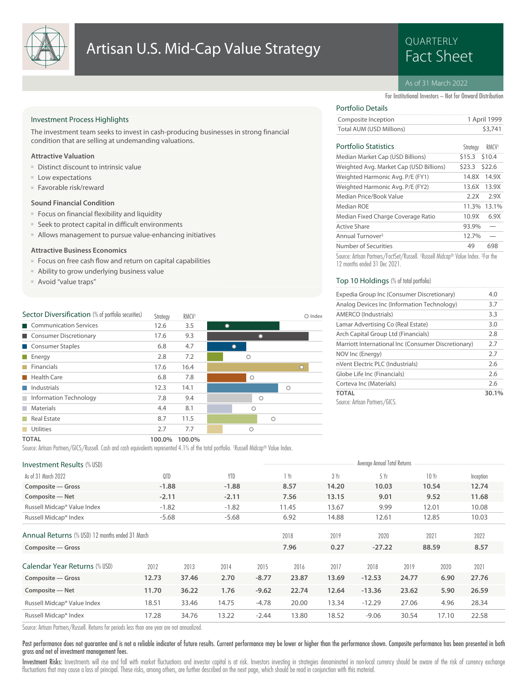

## Artisan U.S. Mid-Cap Value Strategy<br>Fact Sheet

# QUARTERLY

#### As of 31 March 2022

For Institutional Investors – Not for Onward Distribution

#### Investment Process Highlights

The investment team seeks to invest in cash-producing businesses in strong financial condition that are selling at undemanding valuations.

#### **Attractive Valuation**

- Distinct discount to intrinsic value
- Low expectations
- Favorable risk/reward

#### **Sound Financial Condition**

- Focus on financial flexibility and liquidity
- Seek to protect capital in difficult environments
- Allows management to pursue value-enhancing initiatives

#### **Attractive Business Economics**

- Focus on free cash flow and return on capital capabilities
- Ability to grow underlying business value
- Avoid "value traps"

| Sector Diversification (% of portfolio securities) | Strateav | <b>RMCV1</b> |  |         |         |         | $\bigcirc$ Index |
|----------------------------------------------------|----------|--------------|--|---------|---------|---------|------------------|
| Communication Services                             | 12.6     | 3.5          |  |         |         |         |                  |
| Consumer Discretionary                             | 17.6     | 9.3          |  |         |         |         |                  |
| Consumer Staples                                   | 6.8      | 4.7          |  |         |         |         |                  |
| Energy<br>a a s                                    | 2.8      | 7.2          |  | Ο       |         |         |                  |
| <b>Financials</b>                                  | 17.6     | 16.4         |  |         |         |         | $\circ$          |
| <b>Health Care</b>                                 | 6.8      | 7.8          |  | $\circ$ |         |         |                  |
| Industrials                                        | 12.3     | 14.1         |  |         |         | $\circ$ |                  |
| Information Technology                             | 7.8      | 9.4          |  |         | $\circ$ |         |                  |
| Materials<br><b>I</b>                              | 4.4      | 8.1          |  | Ο       |         |         |                  |
| Real Estate                                        | 8.7      | 11.5         |  |         | $\circ$ |         |                  |
| <b>Utilities</b>                                   | 2.7      | 7.7          |  | Ο       |         |         |                  |
| <b>TOTAL</b>                                       | 100.0%   | 100.0%       |  |         |         |         |                  |

## Portfolio Details

| Composite Inception      | 1 April 1999 |
|--------------------------|--------------|
| Total AUM (USD Millions) | \$3,741      |
|                          |              |

#### Portfolio Statistics RMCV<sup>1</sup>

| Portfolio Statistics                                                                    | Strateav      | <b>RMCV</b> |
|-----------------------------------------------------------------------------------------|---------------|-------------|
| Median Market Cap (USD Billions)                                                        | \$15.3 \$10.4 |             |
| Weighted Avg. Market Cap (USD Billions)                                                 | \$23.3        | \$22.6      |
| Weighted Harmonic Avg. P/E (FY1)                                                        | 14.8X         | 14.9X       |
| Weighted Harmonic Avg. P/E (FY2)                                                        | 13.6X         | 13.9X       |
| Median Price/Book Value                                                                 | 2.2X          | 2.9X        |
| Median ROF                                                                              |               | 11.3% 13.1% |
| Median Fixed Charge Coverage Ratio                                                      | 10.9X         | 6.9X        |
| <b>Active Share</b>                                                                     | 93.9%         |             |
| Annual Turnover <sup>2</sup>                                                            | 12.7%         |             |
| Number of Securities                                                                    | 49            | 698         |
| Carrier Antique Danhame /FainCan /Direct   1Direct   Midson @ Malice Indian - 2Fainthis |               |             |

Source: Artisan Partners/FactSet/Russell. <sup>1</sup> Russell Midcap® Value Index. <sup>2</sup> For the 12 months ended 31 Dec 2021.

#### Top 10 Holdings (% of total portfolio)

| Expedia Group Inc (Consumer Discretionary)          | 4.0   |
|-----------------------------------------------------|-------|
| Analog Devices Inc (Information Technology)         | 3.7   |
| AMERCO (Industrials)                                | 3.3   |
| Lamar Advertising Co (Real Estate)                  | 3.0   |
| Arch Capital Group Ltd (Financials)                 | 2.8   |
| Marriott International Inc (Consumer Discretionary) | 2.7   |
| NOV Inc (Energy)                                    | 2.7   |
| nVent Electric PLC (Industrials)                    | 2.6   |
| Globe Life Inc (Financials)                         | 2.6   |
| Corteva Inc (Materials)                             | 2.6   |
| <b>TOTAL</b>                                        | 30.1% |
| Source: Artisan Partners/GICS.                      |       |

Source: Artisan Partners/GICS/Russell. Cash and cash equivalents represented 4.1% of the total portfolio. <sup>1</sup> Russell Midcap® Value Index.

| <b>Investment Results (% USD)</b>               |         |       |            |         | Average Annual Total Returns |       |          |       |       |           |  |
|-------------------------------------------------|---------|-------|------------|---------|------------------------------|-------|----------|-------|-------|-----------|--|
| As of 31 March 2022                             | QTD     |       | <b>YTD</b> |         | 1 Yr                         | 3 Yr  | 5 Yr     |       | 10 Yr | Inception |  |
| Composite - Gross                               | $-1.88$ |       | $-1.88$    |         | 8.57                         | 14.20 | 10.03    |       | 10.54 | 12.74     |  |
| Composite - Net                                 | $-2.11$ |       | $-2.11$    |         | 7.56                         | 13.15 | 9.01     |       | 9.52  | 11.68     |  |
| Russell Midcap® Value Index                     | $-1.82$ |       | $-1.82$    |         | 11.45                        | 13.67 | 9.99     |       | 12.01 | 10.08     |  |
| Russell Midcap® Index                           | $-5.68$ |       | $-5.68$    |         | 6.92                         | 14.88 | 12.61    |       | 12.85 | 10.03     |  |
| Annual Returns (% USD) 12 months ended 31 March |         |       |            |         | 2018                         | 2019  | 2020     |       | 2021  | 2022      |  |
| Composite - Gross                               |         |       |            |         | 7.96                         | 0.27  | $-27.22$ |       | 88.59 | 8.57      |  |
| Calendar Year Returns (% USD)                   | 2012    | 2013  | 2014       | 2015    | 2016                         | 2017  | 2018     | 2019  | 2020  | 2021      |  |
| Composite - Gross                               | 12.73   | 37.46 | 2.70       | $-8.77$ | 23.87                        | 13.69 | $-12.53$ | 24.77 | 6.90  | 27.76     |  |
| Composite - Net                                 | 11.70   | 36.22 | 1.76       | $-9.62$ | 22.74                        | 12.64 | $-13.36$ | 23.62 | 5.90  | 26.59     |  |
| Russell Midcap® Value Index                     | 18.51   | 33.46 | 14.75      | $-4.78$ | 20.00                        | 13.34 | $-12.29$ | 27.06 | 4.96  | 28.34     |  |
| Russell Midcap® Index                           | 17.28   | 34.76 | 13.22      | $-2.44$ | 13.80                        | 18.52 | $-9.06$  | 30.54 | 17.10 | 22.58     |  |
|                                                 |         |       |            |         |                              |       |          |       |       |           |  |

Source: Artisan Partners/Russell. Returns for periods less than one year are not annualized.

#### Past performance does not guarantee and is not a reliable indicator of future results. Current performance may be lower or higher than the performance shown. Composite performance has been presented in both gross and net of investment management fees.

Investment Risks: Investments will rise and fall with market fluctuations and investor capital is at risk. Investors investing in strategies denominated in non-local currency should be aware of the risk of currency exchang fluctuations that may cause a loss of principal. These risks, among others, are further described on the next page, which should be read in conjunction with this material.